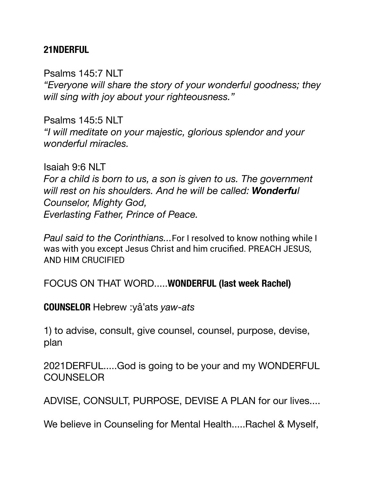#### **21NDERFUL**

Psalms 145:7 NLT *"Everyone will share the story of your wonderful goodness; they will sing with joy about your righteousness."*

Psalms 145:5 NLT *"I will meditate on your majestic, glorious splendor and your wonderful miracles.*

Isaiah 9:6 NLT *For a child is born to us, a son is given to us. The government will rest on his shoulders. And he will be called: Wonderful Counselor, Mighty God, Everlasting Father, Prince of Peace.* 

*Paul said to the Corinthians...*For I resolved to know nothing while I was with you except Jesus Christ and him crucified. PREACH JESUS, AND HIM CRUCIFIED

FOCUS ON THAT WORD.....**WONDERFUL (last week Rachel)** 

**COUNSELOR** Hebrew :yâ'ats *yaw-ats*

1) to advise, consult, give counsel, counsel, purpose, devise, plan

2021DERFUL.....God is going to be your and my WONDERFUL **COUNSELOR** 

ADVISE, CONSULT, PURPOSE, DEVISE A PLAN for our lives....

We believe in Counseling for Mental Health.....Rachel & Myself,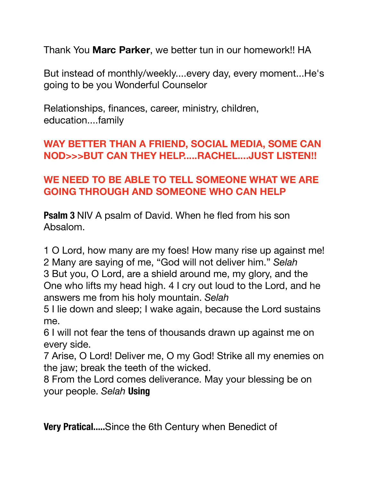Thank You **Marc Parker**, we better tun in our homework!! HA

But instead of monthly/weekly....every day, every moment...He's going to be you Wonderful Counselor

Relationships, finances, career, ministry, children, education....family

# **WAY BETTER THAN A FRIEND, SOCIAL MEDIA, SOME CAN NOD>>>BUT CAN THEY HELP.....RACHEL....JUST LISTEN!!**

# **WE NEED TO BE ABLE TO TELL SOMEONE WHAT WE ARE GOING THROUGH AND SOMEONE WHO CAN HELP**

**Psalm 3** NIV A psalm of David. When he fled from his son Absalom.

1 O Lord, how many are my foes! How many rise up against me! 2 Many are saying of me, "God will not deliver him." *Selah*  3 But you, O Lord, are a shield around me, my glory, and the One who lifts my head high. 4 I cry out loud to the Lord, and he answers me from his holy mountain. *Selah* 

5 I lie down and sleep; I wake again, because the Lord sustains me.

6 I will not fear the tens of thousands drawn up against me on every side.

7 Arise, O Lord! Deliver me, O my God! Strike all my enemies on the jaw; break the teeth of the wicked.

8 From the Lord comes deliverance. May your blessing be on your people. *Selah* **Using** 

**Very Pratical.....**Since the 6th Century when Benedict of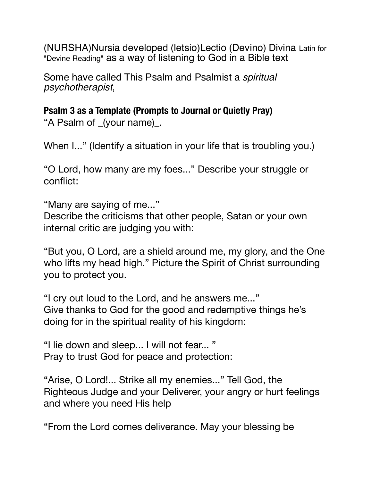(NURSHA)Nursia developed (letsio)Lectio (Devino) Divina Latin for "Devine Reading" as a way of listening to God in a Bible text

Some have called This Psalm and Psalmist a *spiritual psychotherapist*,

**Psalm 3 as a Template (Prompts to Journal or Quietly Pray)**  "A Psalm of \_(your name)\_.

When I..." (Identify a situation in your life that is troubling you.)

"O Lord, how many are my foes..." Describe your struggle or conflict:

"Many are saying of me..."

Describe the criticisms that other people, Satan or your own internal critic are judging you with:

"But you, O Lord, are a shield around me, my glory, and the One who lifts my head high." Picture the Spirit of Christ surrounding you to protect you.

"I cry out loud to the Lord, and he answers me..." Give thanks to God for the good and redemptive things he's doing for in the spiritual reality of his kingdom:

"I lie down and sleep... I will not fear... " Pray to trust God for peace and protection:

"Arise, O Lord!... Strike all my enemies..." Tell God, the Righteous Judge and your Deliverer, your angry or hurt feelings and where you need His help

"From the Lord comes deliverance. May your blessing be